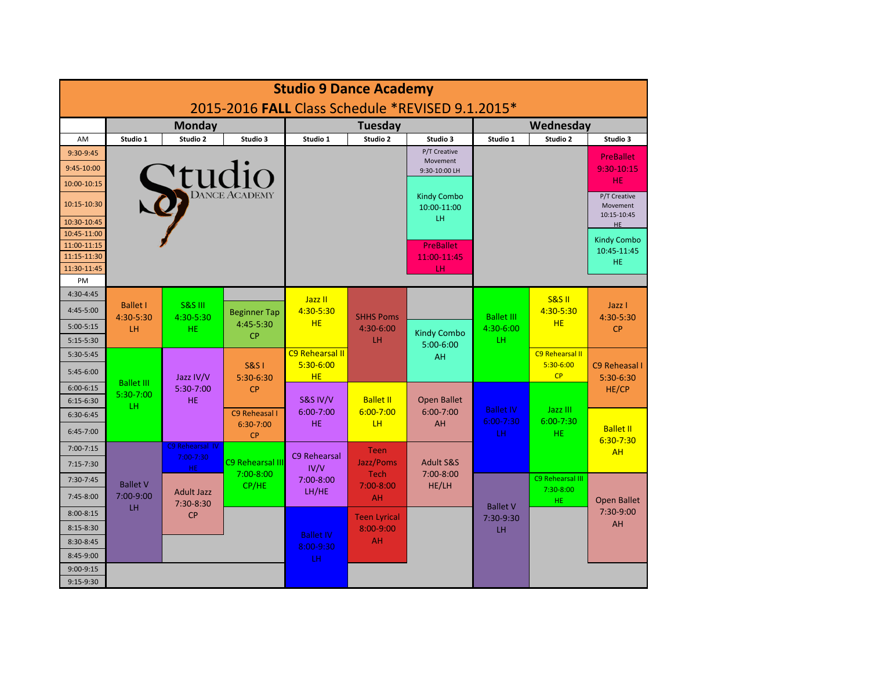| <b>Studio 9 Dance Academy</b>                    |                              |                                             |                                      |                        |                            |                                   |                              |                        |                                         |  |  |
|--------------------------------------------------|------------------------------|---------------------------------------------|--------------------------------------|------------------------|----------------------------|-----------------------------------|------------------------------|------------------------|-----------------------------------------|--|--|
| 2015-2016 FALL Class Schedule *REVISED 9.1.2015* |                              |                                             |                                      |                        |                            |                                   |                              |                        |                                         |  |  |
|                                                  | <b>Monday</b>                |                                             |                                      | Tuesday                |                            |                                   | Wednesday                    |                        |                                         |  |  |
| AM                                               | Studio 1                     | Studio 2                                    | Studio 3                             | Studio 1               | Studio 2                   | Studio 3                          | Studio 1                     | Studio 2               | Studio 3                                |  |  |
| 9:30-9:45                                        |                              |                                             |                                      |                        |                            | P/T Creative                      |                              |                        | <b>PreBallet</b>                        |  |  |
| 9:45-10:00                                       |                              |                                             |                                      |                        |                            | Movement<br>9:30-10:00 LH         |                              |                        | 9:30-10:15                              |  |  |
| 10:00-10:15                                      | Studio                       |                                             |                                      |                        |                            |                                   |                              |                        | HE.                                     |  |  |
| 10:15-10:30                                      |                              |                                             |                                      |                        |                            | <b>Kindy Combo</b><br>10:00-11:00 |                              |                        | P/T Creative<br>Movement<br>10:15-10:45 |  |  |
| 10:30-10:45                                      |                              |                                             |                                      |                        |                            | LH.                               |                              |                        | HE                                      |  |  |
| 10:45-11:00<br>11:00-11:15                       |                              |                                             |                                      |                        |                            | <b>PreBallet</b>                  |                              |                        | <b>Kindy Combo</b>                      |  |  |
| 11:15-11:30                                      |                              |                                             |                                      |                        |                            | 11:00-11:45                       |                              |                        | 10:45-11:45                             |  |  |
| 11:30-11:45                                      |                              |                                             |                                      |                        |                            | LН                                |                              |                        | HE.                                     |  |  |
| PM                                               |                              |                                             |                                      |                        |                            |                                   |                              |                        |                                         |  |  |
| 4:30-4:45                                        |                              |                                             |                                      | Jazz II                |                            |                                   |                              | <b>S&amp;S II</b>      |                                         |  |  |
| 4:45-5:00                                        | <b>Ballet I</b><br>4:30-5:30 | <b>S&amp;S III</b><br>4:30-5:30             | <b>Beginner Tap</b>                  | 4:30-5:30              | <b>SHHS Poms</b>           |                                   | <b>Ballet III</b>            | 4:30-5:30              | Jazz I<br>4:30-5:30                     |  |  |
| $5:00-5:15$                                      | LH                           | HE.                                         | 4:45-5:30                            | <b>HE</b>              | 4:30-6:00                  | <b>Kindy Combo</b>                | 4:30-6:00                    | <b>HE</b>              | <b>CP</b>                               |  |  |
| 5:15-5:30                                        |                              |                                             | <b>CP</b>                            |                        | LH                         | $5:00-6:00$                       | LH.                          |                        |                                         |  |  |
| 5:30-5:45                                        |                              |                                             |                                      | <b>C9 Rehearsal II</b> |                            | AH                                |                              | <b>C9 Rehearsal II</b> |                                         |  |  |
| 5:45-6:00                                        | <b>Ballet III</b>            | Jazz IV/V                                   | <b>S&amp;S1</b><br>5:30-6:30         | 5:30-6:00<br>HE        |                            |                                   |                              | 5:30-6:00<br>CP        | C9 Reheasal I<br>5:30-6:30              |  |  |
| $6:00 - 6:15$                                    | 5:30-7:00                    | 5:30-7:00                                   | <b>CP</b>                            |                        |                            |                                   |                              |                        | HE/CP                                   |  |  |
| $6:15-6:30$                                      | LH.                          | <b>HE</b>                                   |                                      | <b>S&amp;S IV/V</b>    | <b>Ballet II</b>           | <b>Open Ballet</b>                | <b>Ballet IV</b>             | Jazz III               |                                         |  |  |
| 6:30-6:45                                        |                              |                                             | C9 Reheasal I<br>6:30-7:00           | $6:00 - 7:00$<br>HE.   | $6:00 - 7:00$<br><b>LH</b> | $6:00 - 7:00$<br>AH               | $6:00 - 7:30$                | $6:00 - 7:30$          |                                         |  |  |
| 6:45-7:00                                        |                              |                                             | <b>CP</b>                            |                        |                            |                                   | LH.                          | <b>HE</b>              | <b>Ballet II</b><br>$6:30 - 7:30$       |  |  |
| $7:00 - 7:15$                                    |                              | C9 Rehearsal IV<br>$7:00 - 7:30$            |                                      | C9 Rehearsal           | <b>Teen</b>                |                                   |                              |                        | <b>AH</b>                               |  |  |
| 7:15-7:30                                        |                              | HE.                                         | <b>C9 Rehearsal III</b><br>7:00-8:00 | IV/V                   | Jazz/Poms<br><b>Tech</b>   | <b>Adult S&amp;S</b><br>7:00-8:00 |                              |                        |                                         |  |  |
| 7:30-7:45                                        | <b>Ballet V</b>              |                                             | CP/HE                                | 7:00-8:00              | $7:00 - 8:00$              | HE/LH                             |                              | C9 Rehearsal III       |                                         |  |  |
| 7:45-8:00                                        | 7:00-9:00<br>LH              | <b>Adult Jazz</b><br>7:30-8:30<br><b>CP</b> |                                      | LH/HE                  | <b>AH</b>                  |                                   | <b>Ballet V</b><br>7:30-9:30 | $7:30-8:00$<br>HE.     | <b>Open Ballet</b><br>7:30-9:00         |  |  |
| $8:00 - 8:15$                                    |                              |                                             |                                      |                        | <b>Teen Lyrical</b>        |                                   |                              |                        |                                         |  |  |
| $8:15-8:30$                                      |                              |                                             |                                      | <b>Ballet IV</b>       | 8:00-9:00                  |                                   | LH                           |                        | AH                                      |  |  |
| 8:30-8:45                                        |                              |                                             |                                      | 8:00-9:30              | AH                         |                                   |                              |                        |                                         |  |  |
| 8:45-9:00                                        |                              |                                             |                                      | LH.                    |                            |                                   |                              |                        |                                         |  |  |
| 9:00-9:15                                        |                              |                                             |                                      |                        |                            |                                   |                              |                        |                                         |  |  |
| 9:15-9:30                                        |                              |                                             |                                      |                        |                            |                                   |                              |                        |                                         |  |  |